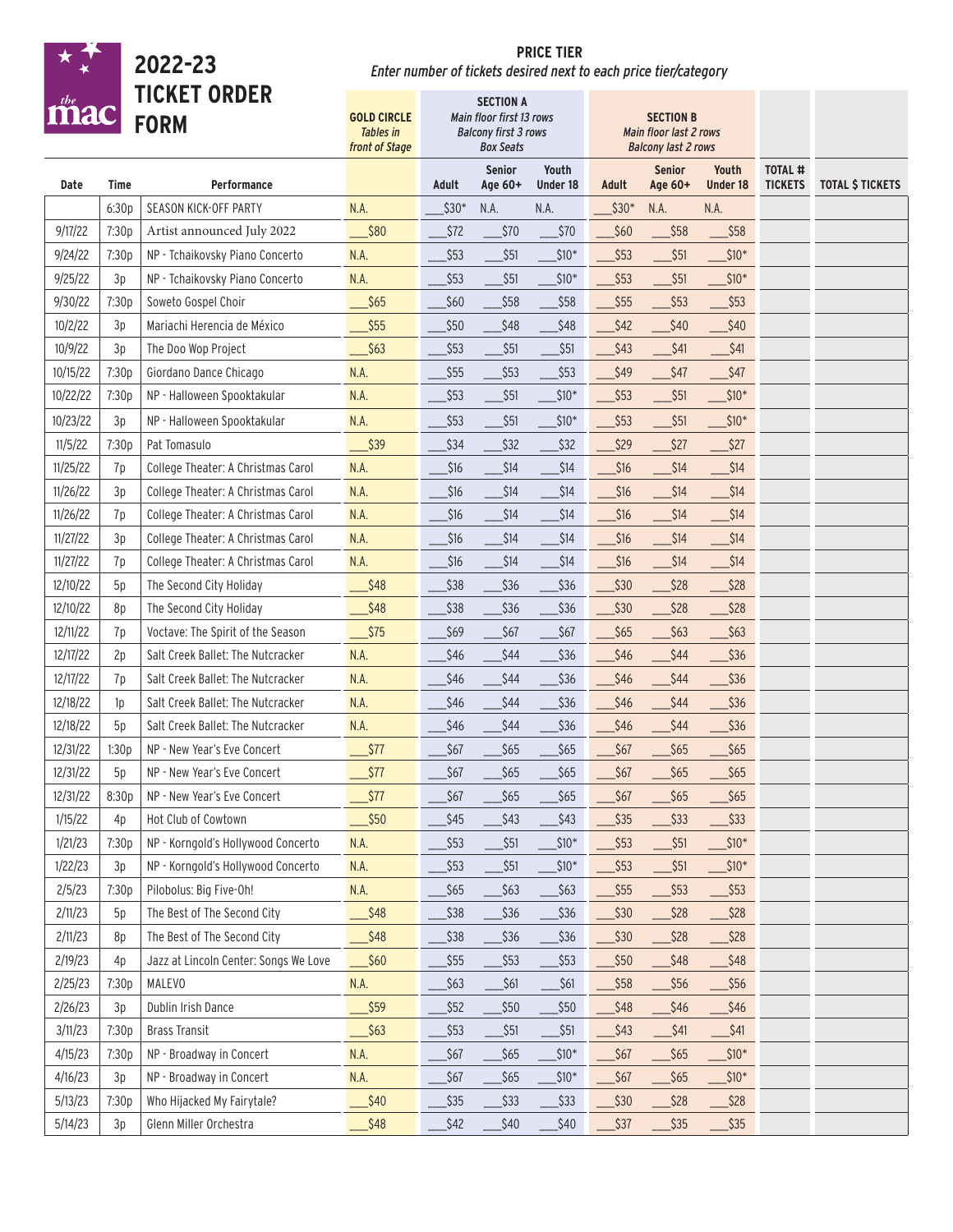|          |       | 2022-23                               | <b>PRICE TIER</b><br>Enter number of tickets desired next to each price tier/category |        |                                                                                                 |                         |                    |                                                                          |                               |                                  |                         |
|----------|-------|---------------------------------------|---------------------------------------------------------------------------------------|--------|-------------------------------------------------------------------------------------------------|-------------------------|--------------------|--------------------------------------------------------------------------|-------------------------------|----------------------------------|-------------------------|
|          |       | <b>TICKET ORDER</b><br><b>FORM</b>    | <b>GOLD CIRCLE</b><br><b>Tables</b> in<br>front of Stage                              |        | <b>SECTION A</b><br>Main floor first 13 rows<br><b>Balcony first 3 rows</b><br><b>Box Seats</b> |                         |                    | <b>SECTION B</b><br>Main floor last 2 rows<br><b>Balcony last 2 rows</b> |                               |                                  |                         |
| Date     | Time  | <b>Performance</b>                    |                                                                                       | Adult  | <b>Senior</b><br>Age 60+                                                                        | Youth<br>Under 18       | Adult              | <b>Senior</b><br>Age 60+                                                 | Youth<br><b>Under 18</b>      | <b>TOTAL #</b><br><b>TICKETS</b> | <b>TOTAL \$ TICKETS</b> |
|          | 6:30p | SEASON KICK-OFF PARTY                 | N.A.                                                                                  | $$30*$ | N.A.                                                                                            | N.A.                    | $$30*$             | N.A.                                                                     | N.A.                          |                                  |                         |
| 9/17/22  | 7:30p | Artist announced July 2022            | \$80                                                                                  | \$72   | $$70$                                                                                           | $$70$                   | \$60               | $$58$                                                                    | $$58$                         |                                  |                         |
| 9/24/22  | 7:30p | NP - Tchaikovsky Piano Concerto       | N.A.                                                                                  | $$53$  | $$51$                                                                                           | $$10*$                  | \$53               | \$51                                                                     | $$10*$                        |                                  |                         |
| 9/25/22  | 3p    | NP - Tchaikovsky Piano Concerto       | N.A.                                                                                  | \$53   | \$51                                                                                            | $$10*$                  | $$53$              | $$51$                                                                    | $$10*$                        |                                  |                         |
| 9/30/22  | 7:30p | Soweto Gospel Choir                   | $\frac{\$65}{\$}$                                                                     | \$60   | $$58$                                                                                           | $$58$                   | $$55$              | $\frac{553}{5}$<br>a.                                                    | $$53$                         |                                  |                         |
| 10/2/22  | 3p    | Mariachi Herencia de México           | $\frac{\$55}{\$}$                                                                     | \$50   | \$48                                                                                            | $$48$                   | $$42$              | $\overline{\phantom{0}}$ \$40                                            | $\frac{\text{S}}{2}$          |                                  |                         |
| 10/9/22  | 3p    | The Doo Wop Project                   | $\_$ \$63                                                                             | $$53$  | $$51$                                                                                           | \$51                    | $$43$              | _\$41                                                                    | $$41$                         |                                  |                         |
| 10/15/22 | 7:30p | Giordano Dance Chicago                | N.A.                                                                                  | \$55   | $$53$                                                                                           | \$53                    | \$49               | $$47$                                                                    | $$47$                         |                                  |                         |
| 10/22/22 | 7:30p | NP - Halloween Spooktakular           | N.A.                                                                                  | $$53$  | $$51$                                                                                           | $\frac{\sin x}{\sin x}$ | $$53$              | $$51$                                                                    | $\_$ \$10*                    |                                  |                         |
| 10/23/22 | 3p    | NP - Halloween Spooktakular           | N.A.                                                                                  | \$53   | \$51                                                                                            | $$10*$                  | $$53$              | $\_$ \$51                                                                | $\_$ \$10*                    |                                  |                         |
| 11/5/22  | 7:30p | Pat Tomasulo                          | $\frac{\sqrt{339}}{2}$                                                                | $$34$  | $$32$                                                                                           | $$32$                   | $$29$              | $\overline{\phantom{0}}$ \$27                                            | $\_$ \$27                     |                                  |                         |
| 11/25/22 | 7p    | College Theater: A Christmas Carol    | N.A.                                                                                  | $$16$  | \$14                                                                                            | $$14$                   | 316                | $$14$<br>C.                                                              | $\_$ \$14                     |                                  |                         |
| 11/26/22 | 3p    | College Theater: A Christmas Carol    | N.A.                                                                                  | $$16$  | $$14$                                                                                           | $$14$                   | $$16$              | $$14$                                                                    | $$14$                         |                                  |                         |
| 11/26/22 | 7p    | College Theater: A Christmas Carol    | N.A.                                                                                  | $$16$  | \$14                                                                                            | $$14$                   | $$16$              | $$14$                                                                    | $$14$                         |                                  |                         |
| 11/27/22 | 3p    | College Theater: A Christmas Carol    | N.A.                                                                                  | $$16$  | $$14$                                                                                           | $$14$                   | $$16$              | \$14                                                                     | $$14$                         |                                  |                         |
| 11/27/22 | 7p    | College Theater: A Christmas Carol    | N.A.                                                                                  | $$16$  | $$14$                                                                                           | $$14$                   | $$16$              | $$14$                                                                    | $$14$                         |                                  |                         |
| 12/10/22 | 5p    | The Second City Holiday               | $\frac{\$48}{}$                                                                       | \$38   | $$36$                                                                                           | $$36$                   | $$30$              | $$28$                                                                    | $$28$                         |                                  |                         |
| 12/10/22 | 8p    | The Second City Holiday               | $\frac{\$48}{}$                                                                       | \$38   | $$36$                                                                                           | \$36                    | $$30$              | $$28$                                                                    | \$28                          |                                  |                         |
| 12/11/22 | 7p    | Voctave: The Spirit of the Season     | $\_$ \$75                                                                             | \$69   | \$67                                                                                            | $$67$                   | $$65$              | $$63$                                                                    | $$63$                         |                                  |                         |
| 12/17/22 | 2p    | Salt Creek Ballet: The Nutcracker     | N.A.                                                                                  | $$46$  | \$44                                                                                            | \$36                    | \$46               | \$44                                                                     | \$36                          |                                  |                         |
| 12/17/22 | 7p    | Salt Creek Ballet: The Nutcracker     | N.A.                                                                                  | \$46   | $$44$                                                                                           | \$36                    | $$46$              | \$44                                                                     | $$36$                         |                                  |                         |
| 12/18/22 | 1p    | Salt Creek Ballet: The Nutcracker     | N.A.                                                                                  | $$46$  | \$44                                                                                            | \$36                    | $$46$              | \$44                                                                     | $$36$                         |                                  |                         |
| 12/18/22 | 5p    | Salt Creek Ballet: The Nutcracker     | N.A.                                                                                  | $$46$  | \$44                                                                                            | \$36                    | $$46$              | \$44                                                                     | \$36                          |                                  |                         |
| 12/31/22 | 1:30p | NP - New Year's Eve Concert           | $\sqrt{$77}$                                                                          | $$67$  | $$65$                                                                                           | $$65$                   | $\frac{1}{2}$ \$67 | $$65$                                                                    | $$65$                         |                                  |                         |
| 12/31/22 | 5p    | NP - New Year's Eve Concert           | $\sqrt{$77}$                                                                          | $$67$  | $$65$                                                                                           | $$65$                   | $$67$              | $$65$                                                                    | \$65                          |                                  |                         |
| 12/31/22 | 8:30p | NP - New Year's Eve Concert           | $\_$ \$77                                                                             | $$67$  | $$65$                                                                                           | $$65$                   | $$67$              | $$65$                                                                    | $$65$                         |                                  |                         |
| 1/15/22  | 4p    | Hot Club of Cowtown                   | $\frac{\$50}{}$                                                                       | $$45$  | $$43$                                                                                           | $$43$                   | $$35$              | $\overline{\phantom{0}}$ \$33                                            | $$33$                         |                                  |                         |
| 1/21/23  | 7:30p | NP - Korngold's Hollywood Concerto    | N.A.                                                                                  | $$53$  | $$51$                                                                                           | $$10*$                  | $$53$              | $\overline{\phantom{0}}$ \$51                                            | $$10*$                        |                                  |                         |
| 1/22/23  | 3p    | NP - Korngold's Hollywood Concerto    | N.A.                                                                                  | $$53$  | $$51$                                                                                           | $$10*$                  | $$53$              | $$51$                                                                    | $$10*$                        |                                  |                         |
| 2/5/23   | 7:30p | Pilobolus: Big Five-Oh!               | N.A.                                                                                  | $$65$  | $$63$                                                                                           | $\frac{63}{2}$          | $$55$              | $$53$                                                                    | $$53$                         |                                  |                         |
| 2/11/23  | 5p    | The Best of The Second City           | $\frac{\$48}{}$                                                                       | $$38$  | $$36$                                                                                           | $$36$                   | $$30$              | $\overline{\phantom{0}}$ \$28                                            | $$28$                         |                                  |                         |
| 2/11/23  | 8p    | The Best of The Second City           | $\frac{\$48}{}$                                                                       | $$38$  | $\frac{1}{2}$ \$36                                                                              | $\frac{\text{336}}{3}$  | $\frac{1}{2}$ \$30 | $\overline{\phantom{0}}$ \$28                                            | $\overline{\phantom{0}}$ \$28 |                                  |                         |
| 2/19/23  | 4p    | Jazz at Lincoln Center: Songs We Love | $\frac{\$60}{}$                                                                       | $$55$  | $$53$                                                                                           | $\frac{553}{2}$         | $$50$              | $\overline{\phantom{0}}$ \$48                                            | $\frac{\$48}{}$               |                                  |                         |
| 2/25/23  | 7:30p | MALEVO                                | N.A.                                                                                  | $$63$  | $$61$                                                                                           | \$61                    | \$58               | $$56$                                                                    | \$56                          |                                  |                         |
| 2/26/23  | 3p    | Dublin Irish Dance                    | \$59                                                                                  | $$52$  | $$50$                                                                                           | $$50$                   | $$48$              | $$46$                                                                    | $$46$                         |                                  |                         |
| 3/11/23  | 7:30p | <b>Brass Transit</b>                  | $$63$                                                                                 | $$53$  | $$51$                                                                                           | $$51$                   | $$43$              | <b>\$41</b>                                                              | $$41$                         |                                  |                         |
| 4/15/23  | 7:30p | NP - Broadway in Concert              | <b>N.A.</b>                                                                           | $$67$  | $$65$                                                                                           | $$10*$                  | $$67$              | $$65$                                                                    | $$10*$                        |                                  |                         |
| 4/16/23  | 3p    | NP - Broadway in Concert              | <b>N.A.</b>                                                                           | $$67$  | $$65$                                                                                           | $$10*$                  | $\frac{1}{2}$ \$67 | $$65$                                                                    | $$10^{\ast}$$                 |                                  |                         |
| 5/13/23  | 7:30p | Who Hijacked My Fairytale?            | $\frac{\$40}{}$                                                                       | $$35$  | $$33$                                                                                           | $$33$                   | $$30$              | $\frac{\text{S}}{\text{S}}$                                              | $$28$                         |                                  |                         |
| 5/14/23  | 3p    | Glenn Miller Orchestra                | \$48                                                                                  | $$42$  | $$40$                                                                                           | $$40$                   | $$37$              | $$35$                                                                    | $$35$                         |                                  |                         |